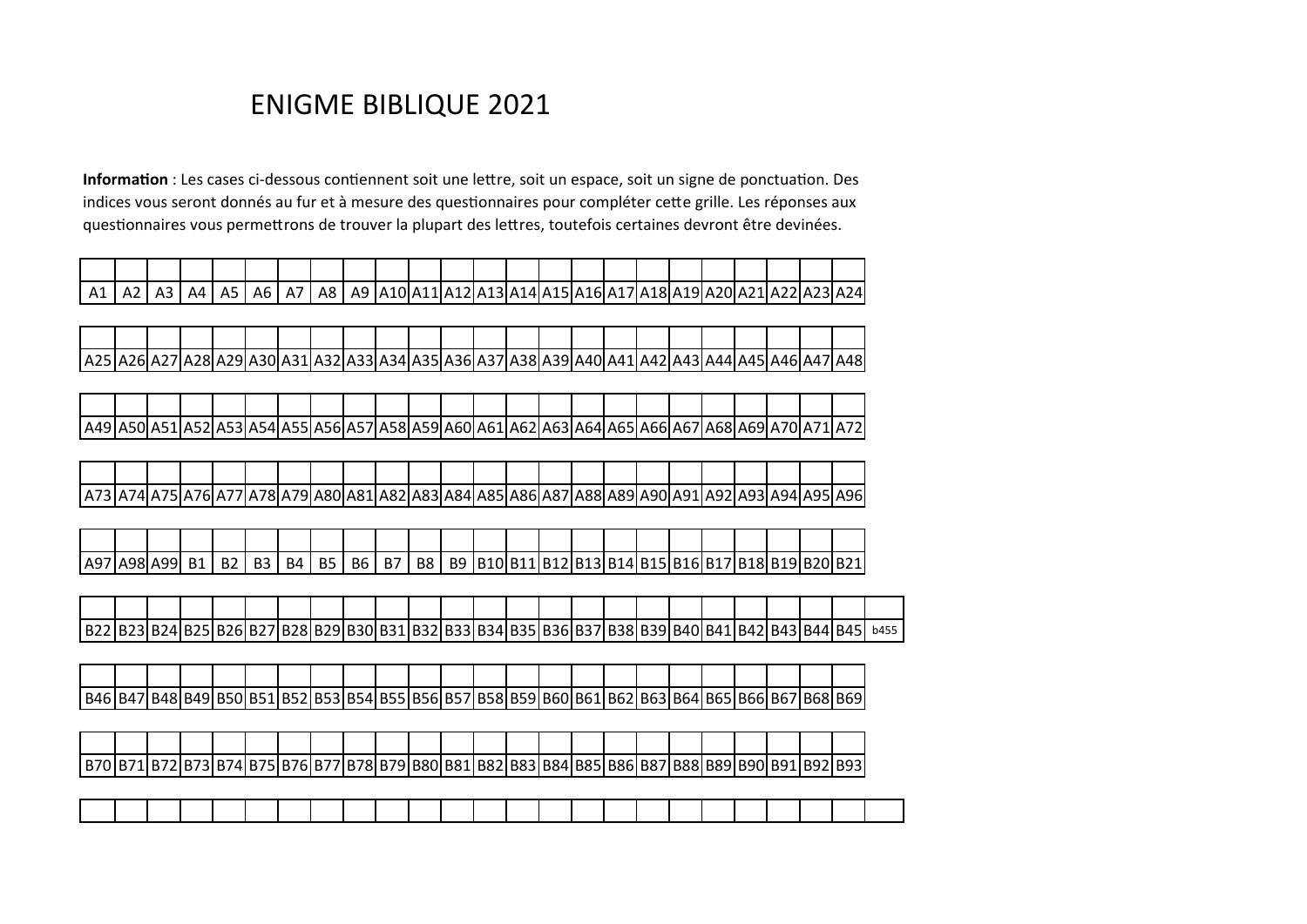## ENIGME BIBLIQUE 2021

**Information** : Les cases ci-dessous contiennent soit une lettre, soit un espace, soit un signe de ponctuation. Des indices vous seront donnés au fur et à mesure des questionnaires pour compléter cette grille. Les réponses aux questionnaires vous permettrons de trouver la plupart des lettres, toutefois certaines devront être devinées.

| A <sub>1</sub> | - Az | ΔΔ | A5 | A <sub>6</sub> | $\overline{\phantom{0}}$<br>A/ | A8 | A9 | A10 A11 A12 A |  |  | A13 A14 A15 A16 A17 A18 A19 A20 A21 A22. |  |  |  | ا24، |
|----------------|------|----|----|----------------|--------------------------------|----|----|---------------|--|--|------------------------------------------|--|--|--|------|
|                |      |    |    |                |                                |    |    |               |  |  |                                          |  |  |  |      |

| A25   A26   A27   A28   A29   A30   A31   A32   A33   A34   A35   A35   A36   A37   A38   A39   A40   A41   A42   A43   A44   A45   A46   A47   A48 |  |  |  |  |  |  |  |  |  |  |  |  |
|-----------------------------------------------------------------------------------------------------------------------------------------------------|--|--|--|--|--|--|--|--|--|--|--|--|

| A49   A50   A5 |  | . הוכיטרי | LA54 A55 A56 A57 , |  |  | A58 A59 A60 A61 A62  <i>A</i> |  |  | .IA63IA64IA65IA66I | 'A67 |  | ∴∕UIA ′ | 11A/21 |
|----------------|--|-----------|--------------------|--|--|-------------------------------|--|--|--------------------|------|--|---------|--------|

|  |  |  |  |  | -- | AX4 | <b>A8514</b> |  |  |  | Δq | . <u>.</u> | . | $\sim$ $\sim$<br>IA961 |
|--|--|--|--|--|----|-----|--------------|--|--|--|----|------------|---|------------------------|

| A97 |  | D <sub>1</sub> | <b>B2</b> | B <sub>3</sub> | B4 | <b>B5</b> | <b>B6</b> | B7 | <b>B8</b> | B9 1B101B1 | 1 U 1 1 1 U 1 4 1 U 1 J 1 |  |  |  |  | 1 B12 B13 B14 B15 B16 B17 B18 B19 B20 B21 |
|-----|--|----------------|-----------|----------------|----|-----------|-----------|----|-----------|------------|---------------------------|--|--|--|--|-------------------------------------------|

| 'B22 | וכגסו | ◡∼ | וכגטוי | ◡◡ |  |  | . | 311B321B331B34 | 82 A I R | --- | ັ | . סטע | ככסו |  | B41 B42 | HД.<br>. . | . кдан<br>ັ | B451 ו | b455 |
|------|-------|----|--------|----|--|--|---|----------------|----------|-----|---|-------|------|--|---------|------------|-------------|--------|------|

| B46 B47 |  |  |  |  |  |  |  |  |  |  |  | 17   B48   B49   B50   B51   B52   B53   B54   B55   B56   B57   B58   B59   B60   B61   B62   B63   B64   B65   B66   B67   B68   B69 |
|---------|--|--|--|--|--|--|--|--|--|--|--|----------------------------------------------------------------------------------------------------------------------------------------|

| . R 7 |  | . 74 I P | 76 I R<br>I R | 71 H | .78P. | 79 I | שטוי∵ | .<br>.I DOZ | 21B83. | 'B841 | . ההי | I B861 | DO |  | <b>ここつつい ロシエーロンム・・・</b> | 8° | 'RC | וכפם |
|-------|--|----------|---------------|------|-------|------|-------|-------------|--------|-------|-------|--------|----|--|-------------------------|----|-----|------|

|  |  |  |  |  |  |  |  |  |  |  |  | and the contract of the contract of the contract of the contract of the contract of the contract of the contract of the contract of the contract of the contract of the contract of the contract of the contract of the contra |
|--|--|--|--|--|--|--|--|--|--|--|--|--------------------------------------------------------------------------------------------------------------------------------------------------------------------------------------------------------------------------------|
|  |  |  |  |  |  |  |  |  |  |  |  |                                                                                                                                                                                                                                |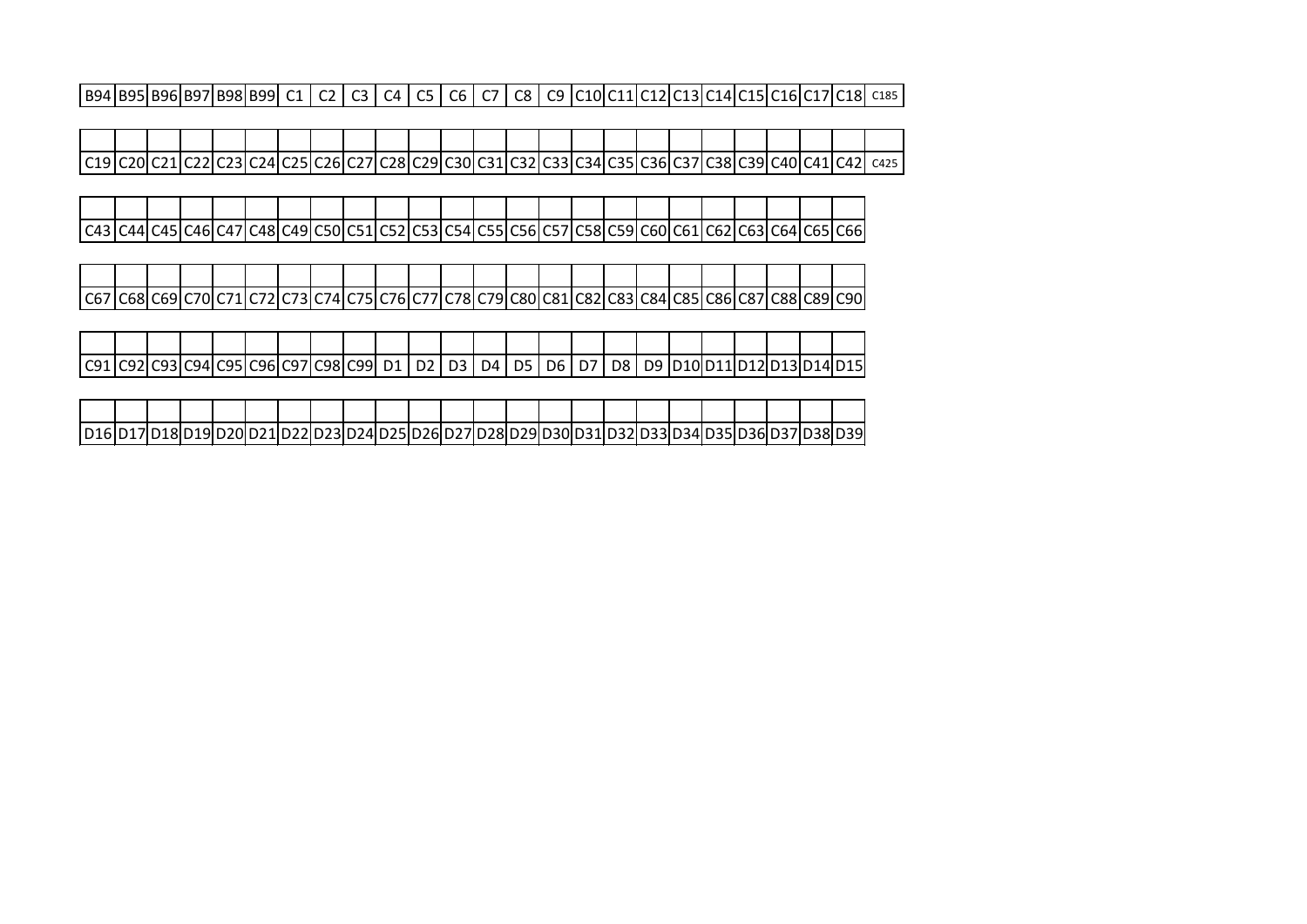B94 B95 B96 B97 B98 B99 C1 C2 C3 C4 C5 C6 C7 C8 C9 C10 C11 C12 C13 C14 C15 C16 C17 C18 C185

C19 C20 C21 C22 C23 C24 C25 C26 C27 C28 C29 C30 C31 C32 C33 C34 C35 C36 C37 C38 C39 C40 C41 C42 C425

C43 C44 C45 C46 C47 C48 C49 C50 C51 C52 C53 C54 C55 C56 C57 C58 C59 C60 C61 C62 C63 C64 C65 C66

C67 C68 C69 C70 C71 C72 C73 C74 C75 C76 C77 C78 C79 C80 C81 C82 C83 C84 C85 C86 C87 C88 C89 C90

| CQ1 | . C92 C93 C94 C95 C96 C97 C98 C99  D1   D2   D3   D4   D5   D6   D7   D8   D9  D10 D11 D12 D13 D14 D15 |  |  |  |  |  |  |  |  |  |  |  |
|-----|--------------------------------------------------------------------------------------------------------|--|--|--|--|--|--|--|--|--|--|--|

| D16 D17 D18 D19 D20 D21 D22 |  |  |  |  |  |  | 21D231D241D251D261D271D281D291D301D311D |  | ווכי גו | <b>13311</b> |  |  | D34ID35ID36ID37ID38ID | D39L |
|-----------------------------|--|--|--|--|--|--|-----------------------------------------|--|---------|--------------|--|--|-----------------------|------|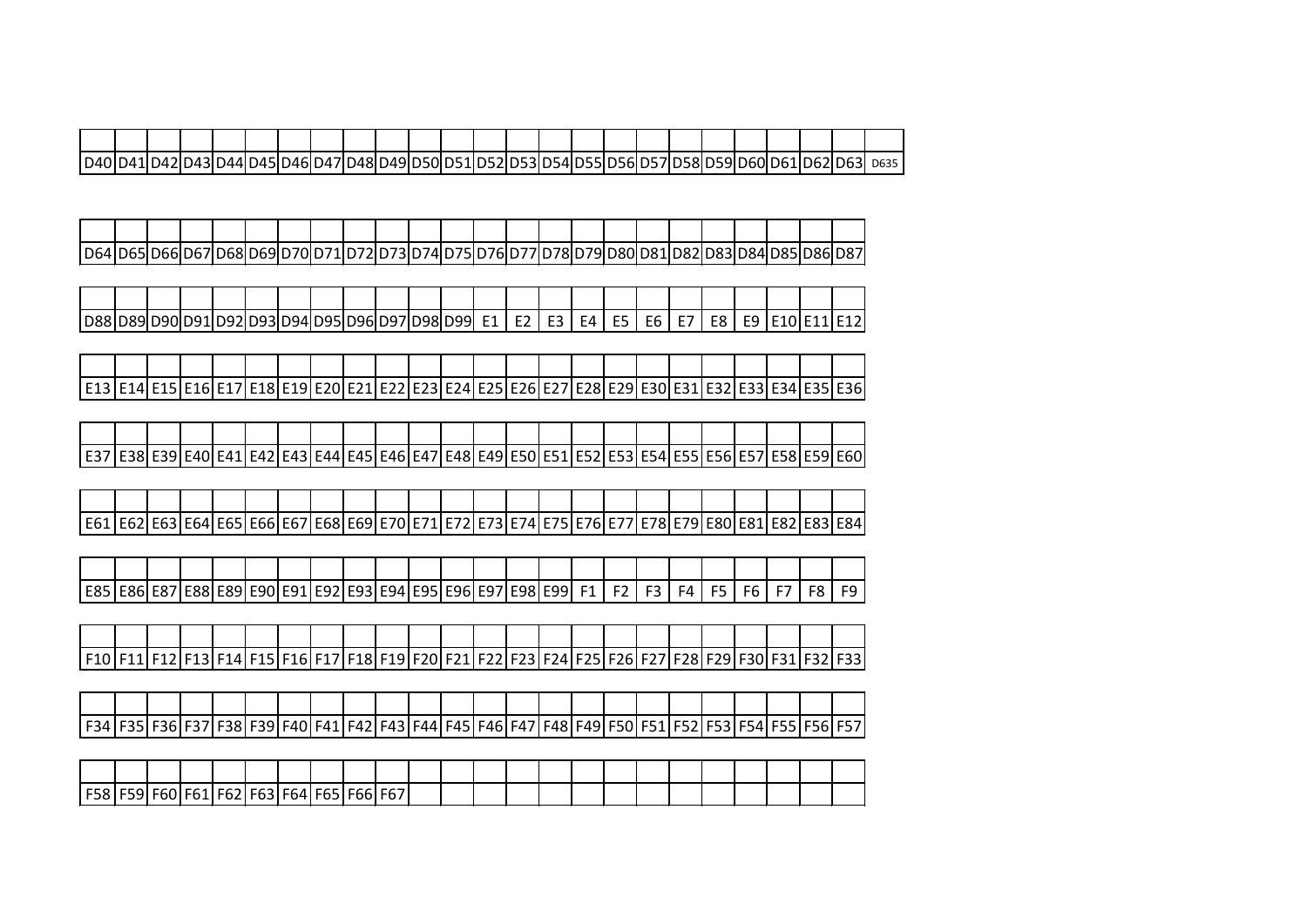| D40 |  |  |  |  |      |  |  |  |  |  |  | ---                   | D635 |
|-----|--|--|--|--|------|--|--|--|--|--|--|-----------------------|------|
|     |  |  |  |  | 149H |  |  |  |  |  |  | - - - - - - - - - - - |      |

| D64 D65 |  | าครแ | 769ID | 70ID. |  | 21 D | 73 D74 D. | 17511 | 76ID. | 77 D' | 78ID. | 79I I |  |  | 7841 D851 D861 D87 |  |
|---------|--|------|-------|-------|--|------|-----------|-------|-------|-------|-------|-------|--|--|--------------------|--|

| D8٤ ا |  | ıч | '  D92 D93 D94 D95 D96 D97 D98 D99 |  |  |  | E <sub>1</sub><br>-- | E?<br>-- | <b>CO</b> | FA I<br>- | E5. | FR<br>∟ບ | - E 7 H | <b>CO</b> | FQ.<br>◡ | IF10IF11IF12 |  |
|-------|--|----|------------------------------------|--|--|--|----------------------|----------|-----------|-----------|-----|----------|---------|-----------|----------|--------------|--|

| F13 F14 F | ______ |  |  |  |  |  |  |  |  |  |  | E15 E16 E17 E18 E19 E20 E21 E22 E23 E24 E25 E26 E27 E28 E29 E30 E31 E32 E33 E34 E35 E36 |
|-----------|--------|--|--|--|--|--|--|--|--|--|--|-----------------------------------------------------------------------------------------|

| E37   E38   E39   E40   E41   E42   E43   E44   E45   E46   E47   E48   E49   E50   E51   E52   E53   E54   E55   E56   E57   E58   E59   E60 |  |  |  |  |  |  |  |  |  |  |  |  |
|-----------------------------------------------------------------------------------------------------------------------------------------------|--|--|--|--|--|--|--|--|--|--|--|--|

| F <sub>61</sub><br><u>_ _ _ _</u> |  | {  E64   E65   E66 |  |  | 1 E671 E681 E691 E701 E7 |  | ► | 731 F 741 F 751 F | 761 | 578<br>ີ | <b>F79IF</b> | c80' | -92 | -93 | E84 |
|-----------------------------------|--|--------------------|--|--|--------------------------|--|---|-------------------|-----|----------|--------------|------|-----|-----|-----|

| E85   E86   E87   E88   E89   E90   E91   E92   E93   E94   E95   E96   E97   E98   E99 |  |  |  |  |  |  |    | E 2 L | ER I | F4 I | FR |  | ים. |
|-----------------------------------------------------------------------------------------|--|--|--|--|--|--|----|-------|------|------|----|--|-----|
|                                                                                         |  |  |  |  |  |  | F1 |       |      |      |    |  |     |
|                                                                                         |  |  |  |  |  |  |    |       |      |      |    |  |     |

| F10   F11   F12   F13   F14   F15   F16   F17   F18   F19   F20   F21   F22   F23   F24   F25   F26   F27   F28   F29   F30   F31 |  |  |  |  |  |  |  |  |  |  |  |
|-----------------------------------------------------------------------------------------------------------------------------------|--|--|--|--|--|--|--|--|--|--|--|

| E2A |  |  | -788 | ᄂᄼᅼ | FД | . . | $FAA$ $FAS$ $FAG$ |  |  | <b>FAQ</b> |  |  | -- |  | $- - - -$ |
|-----|--|--|------|-----|----|-----|-------------------|--|--|------------|--|--|----|--|-----------|

| . FFO |  | -- | ------ | nυ | כס- | -bb | Fb. |  |  |  |  |  |  |  |
|-------|--|----|--------|----|-----|-----|-----|--|--|--|--|--|--|--|